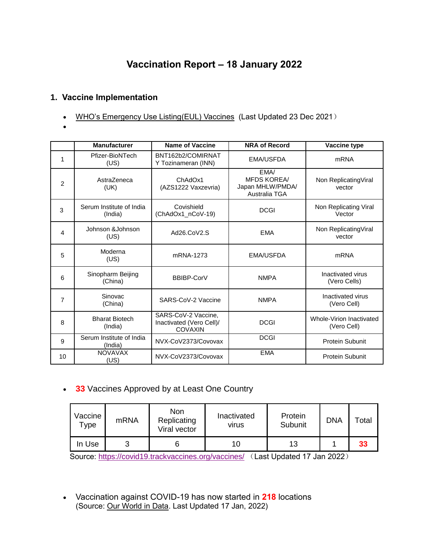## **Vaccination Report – 18 January 2022**

## **1. Vaccine Implementation**

- [WHO's Emergency Use Listing\(EUL\) Vaccines](https://extranet.who.int/pqweb/sites/default/files/documents/Status_COVID_VAX_23Dec2021.pdf) (Last Updated 23 Dec 2021)
- $\bullet$

|                | <b>Manufacturer</b>                 | <b>Name of Vaccine</b>                                     | <b>NRA of Record</b>                                            | Vaccine type                            |
|----------------|-------------------------------------|------------------------------------------------------------|-----------------------------------------------------------------|-----------------------------------------|
| 1              | Pfizer-BioNTech<br>(US)             | BNT162b2/COMIRNAT<br>Y Tozinameran (INN)                   | <b>EMA/USFDA</b>                                                | <b>mRNA</b>                             |
| 2              | AstraZeneca<br>(UK)                 | ChAdOx1<br>(AZS1222 Vaxzevria)                             | EMA/<br><b>MFDS KOREA/</b><br>Japan MHLW/PMDA/<br>Australia TGA | Non ReplicatingViral<br>vector          |
| 3              | Serum Institute of India<br>(India) | Covishield<br>(ChAdOx1_nCoV-19)                            | <b>DCGI</b>                                                     | Non Replicating Viral<br>Vector         |
| 4              | Johnson &Johnson<br>(US)            | Ad26.CoV2.S                                                | <b>EMA</b>                                                      | Non ReplicatingViral<br>vector          |
| 5              | Moderna<br>(US)                     | mRNA-1273                                                  | <b>EMA/USFDA</b>                                                | <b>mRNA</b>                             |
| 6              | Sinopharm Beijing<br>(China)        | BBIBP-CorV                                                 | <b>NMPA</b>                                                     | Inactivated virus<br>(Vero Cells)       |
| $\overline{7}$ | Sinovac<br>(China)                  | SARS-CoV-2 Vaccine                                         | <b>NMPA</b>                                                     | Inactivated virus<br>(Vero Cell)        |
| 8              | <b>Bharat Biotech</b><br>(India)    | SARS-CoV-2 Vaccine,<br>Inactivated (Vero Cell)/<br>COVAXIN | <b>DCGI</b>                                                     | Whole-Virion Inactivated<br>(Vero Cell) |
| 9              | Serum Institute of India<br>(India) | NVX-CoV2373/Covovax                                        | <b>DCGI</b>                                                     | <b>Protein Subunit</b>                  |
| 10             | <b>NOVAVAX</b><br>(US)              | NVX-CoV2373/Covovax                                        | <b>EMA</b>                                                      | <b>Protein Subunit</b>                  |

**33** Vaccines Approved by at Least One Country

| Vaccine<br>Туре | <b>mRNA</b> | Non<br>Replicating<br>Viral vector | Inactivated<br>virus | Protein<br>Subunit | <b>DNA</b> | $\tau$ otal |
|-----------------|-------------|------------------------------------|----------------------|--------------------|------------|-------------|
| In Use          | J           |                                    | 10                   | 13                 |            | 33          |

Source:<https://covid19.trackvaccines.org/vaccines/> (Last Updated 17 Jan 2022)

 Vaccination against COVID-19 has now started in **218** locations (Source: [Our World in Data.](https://ourworldindata.org/covid-vaccinations) Last Updated 17 Jan, 2022)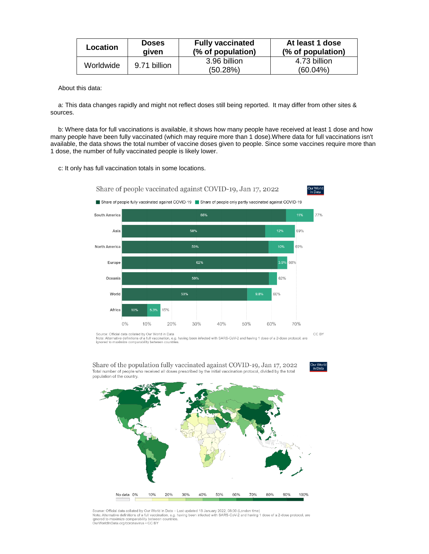| Location  | <b>Doses</b><br>aiven | <b>Fully vaccinated</b><br>(% of population) | At least 1 dose<br>(% of population) |
|-----------|-----------------------|----------------------------------------------|--------------------------------------|
| Worldwide | 9.71 billion          | 3.96 billion<br>(50.28%)                     | 4.73 billion<br>$(60.04\%)$          |
|           |                       |                                              |                                      |

About this data:

a: This data changes rapidly and might not reflect doses still being reported. It may differ from other sites & sources.

b: Where data for full vaccinations is available, it shows how many people have received at least 1 dose and how many people have been fully vaccinated (which may require more than 1 dose).Where data for full vaccinations isn't available, the data shows the total number of vaccine doses given to people. Since some vaccines require more than 1 dose, the number of fully vaccinated people is likely lower.

c: It only has full vaccination totals in some locations.



Source: Official data collated by Our World in Data<br>Note: Alternative definitions of a full vaccination, e.g. having been infected with SARS-CoV-2 and having 1 dose of a 2-dose protocol, are<br>ignored to maximize comparabili



Share of the population fully vaccinated against COVID-19, Jan 17, 2022 Total number of people who received all doses prescribed by the initial vaccination protocol, divided by the total population of the country.

ا<br>in Data

Source: Official data collated by Our World in Data – Last updated 18 January 2022, 08:30 (London time)<br>Note: Alternative definitions of a full vaccination, e.g. having been infected with SARS-CoV-2 and having 1 dose of a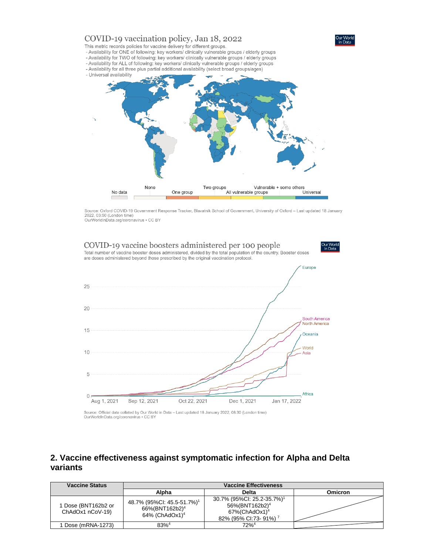

Source: Oxford COVID-19 Government Response Tracker, Blavatnik School of Government, University of Oxford - Last updated 18 January 2022. 03:50 (London time) OurWorldInData.org/coronavirus • CC BY



## **2. Vaccine effectiveness against symptomatic infection for Alpha and Delta variants**

| <b>Vaccine Status</b>                   | <b>Vaccine Effectiveness</b>                                                                          |                                                                                                                                           |         |
|-----------------------------------------|-------------------------------------------------------------------------------------------------------|-------------------------------------------------------------------------------------------------------------------------------------------|---------|
|                                         | Alpha                                                                                                 | Delta                                                                                                                                     | Omicron |
| 1 Dose (BNT162b2 or<br>ChAdOx1 nCoV-19) | 48.7% (95%CI: 45.5-51.7%) <sup>1</sup><br>66%(BNT162b2) <sup>4</sup><br>$64\%$ (ChAdOx1) <sup>4</sup> | 30.7% (95%Cl: 25.2-35.7%) <sup>1</sup><br>56%(BNT162b2) <sup>4</sup><br>$67\%$ (ChAdOx1) <sup>4</sup><br>82% (95% CI:73-91%) <sup>7</sup> |         |
| Dose (mRNA-1273)                        | $83\%^{4}$                                                                                            | $72%^4$                                                                                                                                   |         |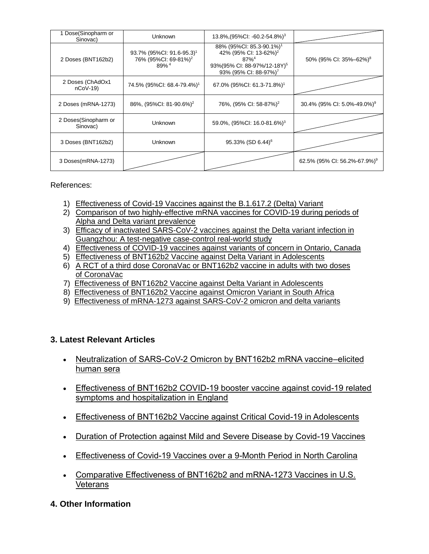| 1 Dose(Sinopharm or<br>Sinovac)  | Unknown                                                                                       | $13.8\%$ , (95%CI: -60.2-54.8%) <sup>3</sup>                                                                                                                                      |                                          |
|----------------------------------|-----------------------------------------------------------------------------------------------|-----------------------------------------------------------------------------------------------------------------------------------------------------------------------------------|------------------------------------------|
| 2 Doses (BNT162b2)               | 93.7% (95%CI: 91.6-95.3) <sup>1</sup><br>76% (95%Cl: 69-81%) <sup>2</sup><br>89% <sup>4</sup> | 88% (95%CI: 85.3-90.1%) <sup>1</sup><br>42% (95% CI: 13-62%) <sup>2</sup><br>$87\%$ <sup>4</sup><br>93% (95% CI: 88-97%/12-18Y) <sup>5</sup><br>93% (95% CI: 88-97%) <sup>7</sup> | 50% (95% CI: 35%-62%) <sup>8</sup>       |
| 2 Doses (ChAdOx1<br>$nCoV-19$    | 74.5% (95%CI: 68.4-79.4%) <sup>1</sup>                                                        | 67.0% (95%Cl: 61.3-71.8%) <sup>1</sup>                                                                                                                                            |                                          |
| 2 Doses (mRNA-1273)              | 86%, (95%CI: 81-90.6%) <sup>2</sup>                                                           | 76%, (95% CI: 58-87%) <sup>2</sup>                                                                                                                                                | 30.4% (95% CI: 5.0%-49.0%) <sup>9</sup>  |
| 2 Doses(Sinopharm or<br>Sinovac) | Unknown                                                                                       | 59.0%, (95%CI: 16.0-81.6%) <sup>3</sup>                                                                                                                                           |                                          |
| 3 Doses (BNT162b2)               | Unknown                                                                                       | 95.33% (SD 6.44) <sup>6</sup>                                                                                                                                                     |                                          |
| 3 Doses(mRNA-1273)               |                                                                                               |                                                                                                                                                                                   | 62.5% (95% CI: 56.2%-67.9%) <sup>9</sup> |

References:

- 1) [Effectiveness of Covid-19 Vaccines against the B.1.617.2 \(Delta\) Variant](https://www.nejm.org/doi/pdf/10.1056/NEJMoa2108891?articleTools=true)
- 2) Comparison of [two highly-effective mRNA vaccines for COVID-19 during periods of](https://www.medrxiv.org/content/10.1101/2021.08.06.21261707v1.full.pdf)  [Alpha and Delta variant prevalence](https://www.medrxiv.org/content/10.1101/2021.08.06.21261707v1.full.pdf)
- 3) [Efficacy of inactivated SARS-CoV-2 vaccines against the Delta variant infection in](https://www.tandfonline.com/doi/full/10.1080/22221751.2021.1969291)  [Guangzhou: A test-negative case-control real-world study](https://www.tandfonline.com/doi/full/10.1080/22221751.2021.1969291)
- 4) [Effectiveness of COVID-19 vaccines against variants of concern in Ontario, Canada](https://www.medrxiv.org/content/10.1101/2021.06.28.21259420v2.full.pdf)
- 5) [Effectiveness of BNT162b2 Vaccine against Delta Variant in Adolescents](https://www.nejm.org/doi/pdf/10.1056/NEJMc2114290?articleTools=true)
- 6) [A RCT of a third dose CoronaVac or BNT162b2 vaccine in adults with two doses](https://www.medrxiv.org/content/10.1101/2021.11.02.21265843v1.full.pdf)  [of CoronaVac](https://www.medrxiv.org/content/10.1101/2021.11.02.21265843v1.full.pdf)
- 7) [Effectiveness of BNT162b2 Vaccine against Delta Variant in Adolescents](https://www.nejm.org/doi/full/10.1056/NEJMc2114290?query=featured_home)
- 8) [Effectiveness of BNT162b2 Vaccine against Omicron Variant in South Africa](https://www.nejm.org/doi/full/10.1056/NEJMc2119270)
- 9) [Effectiveness of mRNA-1273 against SARS-CoV-2 omicron and delta variants](https://www.medrxiv.org/content/10.1101/2022.01.07.22268919v1)

## **3. Latest Relevant Articles**

- Neutralization of SARS-CoV-2 Omicron by BNT162b2 mRNA vaccine-elicited [human sera](https://www.science.org/doi/10.1126/science.abn7591)
- [Effectiveness of BNT162b2 COVID-19 booster vaccine against covid-19 related](https://www.nature.com/articles/d41591-022-00013-3)  [symptoms and hospitalization in England](https://www.nature.com/articles/d41591-022-00013-3)
- [Effectiveness of BNT162b2 Vaccine against Critical Covid-19 in Adolescents](https://www.nejm.org/doi/full/10.1056/NEJMoa2117995?query=featured_home)
- [Duration of Protection against Mild and Severe Disease by Covid-19 Vaccines](https://www.nejm.org/doi/full/10.1056/NEJMoa2115481?query=featured_home)
- [Effectiveness of Covid-19 Vaccines over a 9-Month Period in North Carolina](https://www.nejm.org/doi/full/10.1056/NEJMoa2117128?query=featured_home)
- [Comparative Effectiveness of BNT162b2 and mRNA-1273 Vaccines in U.S.](https://www.nejm.org/doi/full/10.1056/NEJMoa2115463?query=featured_home)  [Veterans](https://www.nejm.org/doi/full/10.1056/NEJMoa2115463?query=featured_home)
- **4. Other Information**